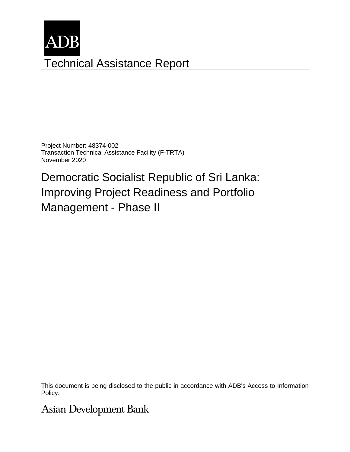

Project Number: 48374-002 Transaction Technical Assistance Facility (F-TRTA) November 2020

Democratic Socialist Republic of Sri Lanka: Improving Project Readiness and Portfolio Management - Phase II

This document is being disclosed to the public in accordance with ADB's Access to Information Policy.

**Asian Development Bank**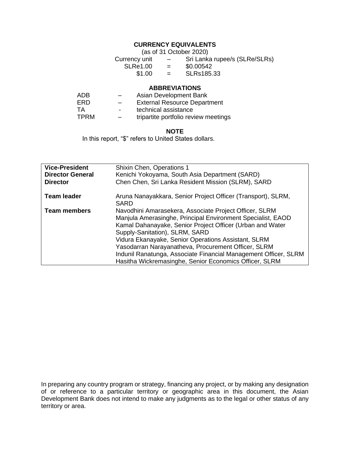# **CURRENCY EQUIVALENTS**

(as of 31 October 2020) Currency unit – Sri Lanka rupee/s (SLRe/SLRs)<br>SLRe1.00 = \$0.00542  $SLRe1.00 =$ <br>\$1.00 =  $=$  SLRs185.33

#### **ABBREVIATIONS**

| ADB.        | $\overline{\phantom{0}}$ | Asian Development Bank               |
|-------------|--------------------------|--------------------------------------|
| ERD         | $\overline{\phantom{0}}$ | <b>External Resource Department</b>  |
| TA          | $\blacksquare$           | technical assistance                 |
| <b>TPRM</b> | $-$                      | tripartite portfolio review meetings |

#### **NOTE**

In this report, "\$" refers to United States dollars.

| <b>Vice-President</b><br><b>Director General</b><br><b>Director</b> | Shixin Chen, Operations 1<br>Kenichi Yokoyama, South Asia Department (SARD)<br>Chen Chen, Sri Lanka Resident Mission (SLRM), SARD                                                                                                                                                                                                                                                                                                                               |
|---------------------------------------------------------------------|-----------------------------------------------------------------------------------------------------------------------------------------------------------------------------------------------------------------------------------------------------------------------------------------------------------------------------------------------------------------------------------------------------------------------------------------------------------------|
| <b>Team leader</b>                                                  | Aruna Nanayakkara, Senior Project Officer (Transport), SLRM,<br>SARD                                                                                                                                                                                                                                                                                                                                                                                            |
| <b>Team members</b>                                                 | Navodhini Amarasekera, Associate Project Officer, SLRM<br>Manjula Amerasinghe, Principal Environment Specialist, EAOD<br>Kamal Dahanayake, Senior Project Officer (Urban and Water<br>Supply-Sanitation), SLRM, SARD<br>Vidura Ekanayake, Senior Operations Assistant, SLRM<br>Yasodarran Narayanatheva, Procurement Officer, SLRM<br>Indunil Ranatunga, Associate Financial Management Officer, SLRM<br>Hasitha Wickremasinghe, Senior Economics Officer, SLRM |

In preparing any country program or strategy, financing any project, or by making any designation of or reference to a particular territory or geographic area in this document, the Asian Development Bank does not intend to make any judgments as to the legal or other status of any territory or area.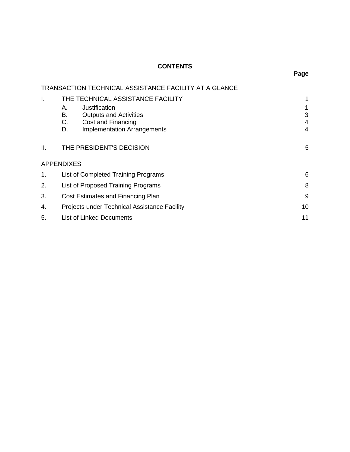## **CONTENTS**

|    | <b>TRANSACTION TECHNICAL ASSISTANCE FACILITY AT A GLANCE</b> |    |
|----|--------------------------------------------------------------|----|
| I. | THE TECHNICAL ASSISTANCE FACILITY                            |    |
|    | Justification<br>Α.                                          | 1  |
|    | В.<br><b>Outputs and Activities</b>                          | 3  |
|    | C.<br>Cost and Financing                                     | 4  |
|    | <b>Implementation Arrangements</b><br>D.                     | 4  |
| Ш. | THE PRESIDENT'S DECISION                                     | 5  |
|    | <b>APPENDIXES</b>                                            |    |
| 1. | List of Completed Training Programs                          | 6  |
| 2. | List of Proposed Training Programs                           | 8  |
| 3. | Cost Estimates and Financing Plan                            | 9  |
| 4. | Projects under Technical Assistance Facility                 | 10 |
| 5. | <b>List of Linked Documents</b>                              | 11 |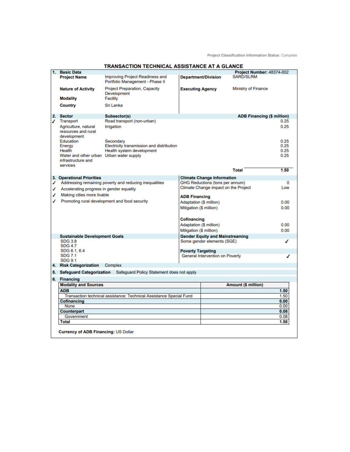|    |                                                                            | <u>UHINDAL AUUNTANUL</u>                                            |                          |                                        |                                   |          |
|----|----------------------------------------------------------------------------|---------------------------------------------------------------------|--------------------------|----------------------------------------|-----------------------------------|----------|
| 1. | <b>Basic Data</b>                                                          |                                                                     |                          |                                        | Project Number: 48374-002         |          |
|    | <b>Project Name</b>                                                        | Improving Project Readiness and<br>Portfolio Management - Phase II  |                          | <b>Department/Division</b>             | <b>SARD/SLRM</b>                  |          |
|    | <b>Nature of Activity</b>                                                  | Project Preparation, Capacity<br>Development                        | <b>Executing Agency</b>  |                                        | <b>Ministry of Finance</b>        |          |
|    | <b>Modality</b>                                                            | Facility                                                            |                          |                                        |                                   |          |
|    | <b>Country</b>                                                             | Sri Lanka                                                           |                          |                                        |                                   |          |
| 2. | <b>Sector</b>                                                              | Subsector(s)                                                        |                          |                                        | <b>ADB Financing (\$ million)</b> |          |
| ℐ  | <b>Transport</b>                                                           | Road transport (non-urban)                                          |                          |                                        |                                   | 0.25     |
|    | Agriculture, natural<br>resources and rural<br>development                 | Irrigation                                                          |                          |                                        |                                   | 0.25     |
|    | Education                                                                  | Secondary                                                           |                          |                                        |                                   | 0.25     |
|    | Energy                                                                     | Electricity transmission and distribution                           |                          |                                        |                                   | 0.25     |
|    | Health                                                                     | Health system development                                           |                          |                                        |                                   | 0.25     |
|    | Water and other urban Urban water supply<br>infrastructure and<br>services |                                                                     |                          |                                        |                                   | 0.25     |
|    |                                                                            |                                                                     |                          |                                        | <b>Total</b>                      | 1.50     |
|    | 3. Operational Priorities                                                  |                                                                     |                          | <b>Climate Change Information</b>      |                                   |          |
| ℐ  |                                                                            | Addressing remaining poverty and reducing inequalities              |                          | <b>GHG Reductions (tons per annum)</b> |                                   | $\Omega$ |
| ✔  | Accelerating progress in gender equality                                   |                                                                     |                          | Climate Change impact on the Project   |                                   | Low      |
| ℐ  | Making cities more livable                                                 |                                                                     |                          |                                        |                                   |          |
|    |                                                                            |                                                                     | <b>ADB Financing</b>     |                                        |                                   |          |
| ℐ  |                                                                            | Promoting rural development and food security                       |                          | <b>Adaptation (\$ million)</b>         |                                   | 0.00     |
|    |                                                                            |                                                                     | Mitigation (\$ million)  |                                        |                                   | 0.00     |
|    |                                                                            |                                                                     | <b>Cofinancing</b>       |                                        |                                   |          |
|    |                                                                            |                                                                     |                          | <b>Adaptation (\$ million)</b>         |                                   | 0.00     |
|    |                                                                            |                                                                     | Mitigation (\$ million)  |                                        |                                   | 0.00     |
|    | <b>Sustainable Development Goals</b>                                       |                                                                     |                          | <b>Gender Equity and Mainstreaming</b> |                                   |          |
|    | <b>SDG 3.8</b><br><b>SDG 4.7</b><br>SDG 6.1, 6.4                           |                                                                     |                          | Some gender elements (SGE)             |                                   |          |
|    | <b>SDG 7.1</b>                                                             |                                                                     | <b>Poverty Targeting</b> | General Intervention on Poverty        |                                   | ℐ        |
|    | <b>SDG 9.1</b><br>4. Risk Categorization                                   | Complex                                                             |                          |                                        |                                   |          |
|    |                                                                            |                                                                     |                          |                                        |                                   |          |
| 5. | <b>Safeguard Categorization</b><br>6. Financing                            | Safeguard Policy Statement does not apply                           |                          |                                        |                                   |          |
|    | <b>Modality and Sources</b>                                                |                                                                     |                          |                                        | <b>Amount (\$ million)</b>        |          |
|    | <b>ADB</b>                                                                 |                                                                     |                          |                                        |                                   | 1.50     |
|    |                                                                            | Transaction technical assistance: Technical Assistance Special Fund |                          |                                        |                                   | 1.50     |
|    | <b>Cofinancing</b>                                                         |                                                                     |                          |                                        |                                   | 0.00     |
|    | None                                                                       |                                                                     |                          |                                        |                                   | 0.00     |
|    | <b>Counterpart</b>                                                         |                                                                     |                          |                                        |                                   | 0.08     |
|    | Government                                                                 |                                                                     |                          |                                        |                                   | 0.08     |
|    | <b>Total</b>                                                               |                                                                     |                          |                                        |                                   | 1.58     |
|    |                                                                            |                                                                     |                          |                                        |                                   |          |
|    | <b>Currency of ADB Financing: US Dollar</b>                                |                                                                     |                          |                                        |                                   |          |

#### **TRANSACTION TECHNICAL ASSISTANCE AT A GLANCE**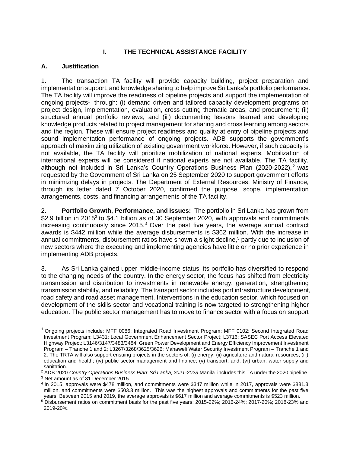## **I. THE TECHNICAL ASSISTANCE FACILITY**

## **A. Justification**

1. The transaction TA facility will provide capacity building, project preparation and implementation support, and knowledge sharing to help improve Sri Lanka's portfolio performance. The TA facility will improve the readiness of pipeline projects and support the implementation of ongoing projects<sup>1</sup> through: (i) demand driven and tailored capacity development programs on project design, implementation, evaluation, cross cutting thematic areas, and procurement; (ii) structured annual portfolio reviews; and (iii) documenting lessons learned and developing knowledge products related to project management for sharing and cross learning among sectors and the region. These will ensure project readiness and quality at entry of pipeline projects and sound implementation performance of ongoing projects. ADB supports the government's approach of maximizing utilization of existing government workforce. However, if such capacity is not available, the TA facility will prioritize mobilization of national experts. Mobilization of international experts will be considered if national experts are not available. The TA facility, although not included in Sri Lanka's Country Operations Business Plan (2020-2022),<sup>2</sup> was requested by the Government of Sri Lanka on 25 September 2020 to support government efforts in minimizing delays in projects. The Department of External Resources, Ministry of Finance, through its letter dated 7 October 2020, confirmed the purpose, scope, implementation arrangements, costs, and financing arrangements of the TA facility.

2. **Portfolio Growth, Performance, and Issues:** The portfolio in Sri Lanka has grown from \$2.9 billion in 2015<sup>3</sup> to \$4.1 billion as of 30 September 2020, with approvals and commitments increasing continuously since 2015. <sup>4</sup> Over the past five years, the average annual contract awards is \$442 million while the average disbursements is \$362 million. With the increase in annual commitments, disbursement ratios have shown a slight decline, <sup>5</sup> partly due to inclusion of new sectors where the executing and implementing agencies have little or no prior experience in implementing ADB projects.

3. As Sri Lanka gained upper middle-income status, its portfolio has diversified to respond to the changing needs of the country. In the energy sector, the focus has shifted from electricity transmission and distribution to investments in renewable energy, generation, strengthening transmission stability, and reliability. The transport sector includes port infrastructure development, road safety and road asset management. Interventions in the education sector, which focused on development of the skills sector and vocational training is now targeted to strengthening higher education. The public sector management has to move to finance sector with a focus on support

<sup>&</sup>lt;sup>1</sup> Ongoing projects include: MFF 0086: [Integrated Road Investment Program;](https://www.adb.org/projects/documents/sri-47273-006-fam-2) MFF 0102: Second Integrated Road Investment Program; L3431: [Local Government Enhancement Sector Project;](https://www.adb.org/projects/documents/sri-lgesp-af-pam) L3716: SASEC Port Access Elevated Highway Project; L3146/3147/3483/3484: [Green Power Development and Energy Efficiency Improvement Investment](https://www.adb.org/projects/documents/green-power-development-and-energy-efficiency-improvement-investment-program-fam)  [Program](https://www.adb.org/projects/documents/green-power-development-and-energy-efficiency-improvement-investment-program-fam) – Tranche 1 and 2; L3267/3268/3625/3626: Mahaweli Water [Security Investment Program](https://www.adb.org/projects/documents/mahaweli-water-security-investment-program-fam) – Tranche 1 and 2. The TRTA will also support ensuing projects in the sectors of: (i) energy; (ii) agriculture and natural resources; (iii) education and health; (iv) public sector management and finance; (v) transport; and, (vi) urban, water supply and sanitation.

<sup>2</sup> ADB.2020.*Country Operations Business Plan: Sri Lanka, 2021-2023*.Manila. includes this TA under the 2020 pipeline.

<sup>3</sup> Net amount as of 31 December 2015.

<sup>4</sup> In 2015, approvals were \$478 million, and commitments were \$347 million while in 2017, approvals were \$881.3 million, and commitments were \$503.3 million. This was the highest approvals and commitments for the past five years. Between 2015 and 2019, the average approvals is \$617 million and average commitments is \$523 million.

<sup>5</sup> Disbursement ratios on commitment basis for the past five years: 2015-22%; 2016-24%; 2017-20%; 2018-23% and 2019-20%.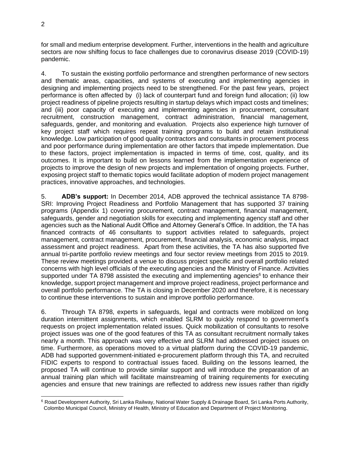for small and medium enterprise development. Further, interventions in the health and agriculture sectors are now shifting focus to face challenges due to coronavirus disease 2019 (COVID-19) pandemic.

4. To sustain the existing portfolio performance and strengthen performance of new sectors and thematic areas, capacities, and systems of executing and implementing agencies in designing and implementing projects need to be strengthened. For the past few years, project performance is often affected by (i) lack of counterpart fund and foreign fund allocation; (ii) low project readiness of pipeline projects resulting in startup delays which impact costs and timelines; and (iii) poor capacity of executing and implementing agencies in procurement, consultant recruitment, construction management, contract administration, financial management, safeguards, gender, and monitoring and evaluation. Projects also experience high turnover of key project staff which requires repeat training programs to build and retain institutional knowledge. Low participation of good quality contractors and consultants in procurement process and poor performance during implementation are other factors that impede implementation. Due to these factors, project implementation is impacted in terms of time, cost, quality, and its outcomes. It is important to build on lessons learned from the implementation experience of projects to improve the design of new projects and implementation of ongoing projects. Further, exposing project staff to thematic topics would facilitate adoption of modern project management practices, innovative approaches, and technologies.

5. **ADB's support:** In December 2014, ADB approved the technical assistance TA 8798- SRI: Improving Project Readiness and Portfolio Management that has supported 37 training programs (Appendix 1) covering procurement, contract management, financial management, safeguards, gender and negotiation skills for executing and implementing agency staff and other agencies such as the National Audit Office and Attorney General's Office. In addition, the TA has financed contracts of 46 consultants to support activities related to safeguards, project management, contract management, procurement, financial analysis, economic analysis, impact assessment and project readiness. Apart from these activities, the TA has also supported five annual tri-partite portfolio review meetings and four sector review meetings from 2015 to 2019. These review meetings provided a venue to discuss project specific and overall portfolio related concerns with high level officials of the executing agencies and the Ministry of Finance. Activities supported under TA 8798 assisted the executing and implementing agencies<sup>6</sup> to enhance their knowledge, support project management and improve project readiness, project performance and overall portfolio performance. The TA is closing in December 2020 and therefore, it is necessary to continue these interventions to sustain and improve portfolio performance.

6. Through TA 8798, experts in safeguards, legal and contracts were mobilized on long duration intermittent assignments, which enabled SLRM to quickly respond to government's requests on project implementation related issues. Quick mobilization of consultants to resolve project issues was one of the good features of this TA as consultant recruitment normally takes nearly a month. This approach was very effective and SLRM had addressed project issues on time. Furthermore, as operations moved to a virtual platform during the COVID-19 pandemic, ADB had supported government-initiated e-procurement platform through this TA, and recruited FIDIC experts to respond to contractual issues faced. Building on the lessons learned, the proposed TA will continue to provide similar support and will introduce the preparation of an annual training plan which will facilitate mainstreaming of training requirements for executing agencies and ensure that new trainings are reflected to address new issues rather than rigidly

<sup>6</sup> Road Development Authority, Sri Lanka Railway, National Water Supply & Drainage Board, Sri Lanka Ports Authority, Colombo Municipal Council, Ministry of Health, Ministry of Education and Department of Project Monitoring.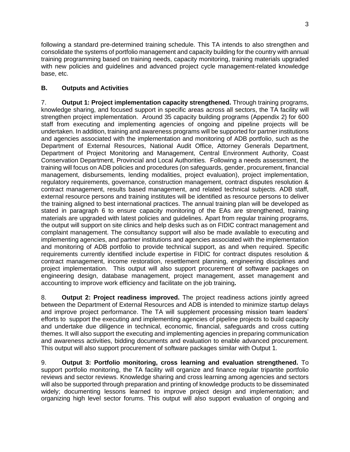following a standard pre-determined training schedule. This TA intends to also strengthen and consolidate the systems of portfolio management and capacity building for the country with annual training programming based on training needs, capacity monitoring, training materials upgraded with new policies and guidelines and advanced project cycle management-related knowledge base, etc.

## **B. Outputs and Activities**

7. **Output 1: Project implementation capacity strengthened.** Through training programs, knowledge sharing, and focused support in specific areas across all sectors, the TA facility will strengthen project implementation. Around 35 capacity building programs (Appendix 2) for 600 staff from executing and implementing agencies of ongoing and pipeline projects will be undertaken. In addition, training and awareness programs will be supported for partner institutions and agencies associated with the implementation and monitoring of ADB portfolio, such as the Department of External Resources, National Audit Office, Attorney Generals Department, Department of Project Monitoring and Management, Central Environment Authority, Coast Conservation Department, Provincial and Local Authorities. Following a needs assessment, the training will focus on ADB policies and procedures (on safeguards, gender, procurement, financial management, disbursements, lending modalities, project evaluation), project implementation, regulatory requirements, governance, construction management, contract disputes resolution & contract management, results based management, and related technical subjects. ADB staff, external resource persons and training institutes will be identified as resource persons to deliver the training aligned to best international practices. The annual training plan will be developed as stated in paragraph 6 to ensure capacity monitoring of the EAs are strengthened, training materials are upgraded with latest policies and guidelines. Apart from regular training programs, the output will support on site clinics and help desks such as on FIDIC contract management and complaint management. The consultancy support will also be made available to executing and implementing agencies, and partner institutions and agencies associated with the implementation and monitoring of ADB portfolio to provide technical support, as and when required. Specific requirements currently identified include expertise in FIDIC for contract disputes resolution & contract management, income restoration, resettlement planning, engineering disciplines and project implementation. This output will also support procurement of software packages on engineering design, database management, project management, asset management and accounting to improve work efficiency and facilitate on the job training**.**

8. **Output 2: Project readiness improved.** The project readiness actions jointly agreed between the Department of External Resources and ADB is intended to minimize startup delays and improve project performance. The TA will supplement processing mission team leaders' efforts to support the executing and implementing agencies of pipeline projects to build capacity and undertake due diligence in technical, economic, financial, safeguards and cross cutting themes. It will also support the executing and implementing agencies in preparing communication and awareness activities, bidding documents and evaluation to enable advanced procurement. This output will also support procurement of software packages similar with Output 1.

9. **Output 3: Portfolio monitoring, cross learning and evaluation strengthened.** To support portfolio monitoring, the TA facility will organize and finance regular tripartite portfolio reviews and sector reviews. Knowledge sharing and cross learning among agencies and sectors will also be supported through preparation and printing of knowledge products to be disseminated widely; documenting lessons learned to improve project design and implementation; and organizing high level sector forums. This output will also support evaluation of ongoing and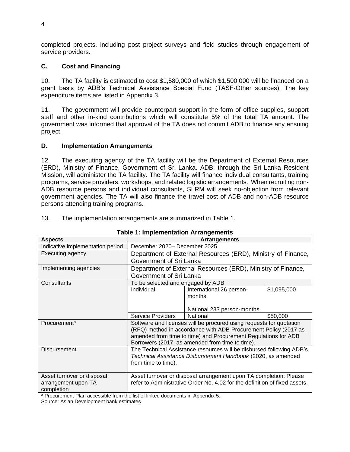completed projects, including post project surveys and field studies through engagement of service providers.

### **C. Cost and Financing**

10. The TA facility is estimated to cost \$1,580,000 of which \$1,500,000 will be financed on a grant basis by ADB's Technical Assistance Special Fund (TASF-Other sources). The key expenditure items are listed in Appendix 3.

11. The government will provide counterpart support in the form of office supplies, support staff and other in-kind contributions which will constitute 5% of the total TA amount. The government was informed that approval of the TA does not commit ADB to finance any ensuing project.

#### **D. Implementation Arrangements**

12. The executing agency of the TA facility will be the Department of External Resources (ERD), Ministry of Finance, Government of Sri Lanka. ADB, through the Sri Lanka Resident Mission, will administer the TA facility. The TA facility will finance individual consultants, training programs, service providers, workshops, and related logistic arrangements. When recruiting non-ADB resource persons and individual consultants, SLRM will seek no-objection from relevant government agencies. The TA will also finance the travel cost of ADB and non-ADB resource persons attending training programs.

**Table 1: Implementation Arrangements**

| <u>rabit i. illipitilitelilalivii Allaliytilitelils</u>                       |                                                                            |                                                                      |             |  |  |  |
|-------------------------------------------------------------------------------|----------------------------------------------------------------------------|----------------------------------------------------------------------|-------------|--|--|--|
| <b>Aspects</b>                                                                |                                                                            | <b>Arrangements</b>                                                  |             |  |  |  |
| Indicative implementation period                                              |                                                                            | December 2020- December 2025                                         |             |  |  |  |
| Executing agency                                                              | Department of External Resources (ERD), Ministry of Finance,               |                                                                      |             |  |  |  |
|                                                                               |                                                                            | Government of Sri Lanka                                              |             |  |  |  |
| Implementing agencies                                                         |                                                                            | Department of External Resources (ERD), Ministry of Finance,         |             |  |  |  |
|                                                                               | Government of Sri Lanka                                                    |                                                                      |             |  |  |  |
| Consultants                                                                   | To be selected and engaged by ADB                                          |                                                                      |             |  |  |  |
|                                                                               | Individual                                                                 | International 26 person-                                             | \$1,095,000 |  |  |  |
|                                                                               |                                                                            | months                                                               |             |  |  |  |
|                                                                               |                                                                            |                                                                      |             |  |  |  |
|                                                                               |                                                                            | National 233 person-months                                           |             |  |  |  |
|                                                                               | Service Providers                                                          | National                                                             | \$50,000    |  |  |  |
| Procurement <sup>a</sup>                                                      |                                                                            | Software and licenses will be procured using requests for quotation  |             |  |  |  |
|                                                                               | (RFQ) method in accordance with ADB Procurement Policy (2017 as            |                                                                      |             |  |  |  |
|                                                                               | amended from time to time) and Procurement Regulations for ADB             |                                                                      |             |  |  |  |
|                                                                               | Borrowers (2017, as amended from time to time).                            |                                                                      |             |  |  |  |
| Disbursement                                                                  |                                                                            | The Technical Assistance resources will be disbursed following ADB's |             |  |  |  |
|                                                                               |                                                                            | Technical Assistance Disbursement Handbook (2020, as amended         |             |  |  |  |
|                                                                               | from time to time).                                                        |                                                                      |             |  |  |  |
|                                                                               |                                                                            |                                                                      |             |  |  |  |
| Asset turnover or disposal                                                    |                                                                            | Asset turnover or disposal arrangement upon TA completion: Please    |             |  |  |  |
| arrangement upon TA                                                           | refer to Administrative Order No. 4.02 for the definition of fixed assets. |                                                                      |             |  |  |  |
| completion                                                                    |                                                                            |                                                                      |             |  |  |  |
| a Dreaurement Dlan cooperable from the list of linked decuments in Annondiv E |                                                                            |                                                                      |             |  |  |  |

#### 13. The implementation arrangements are summarized in Table 1.

<sup>a</sup> Procurement Plan accessible from the list of linked documents in Appendix 5.

Source: Asian Development bank estimates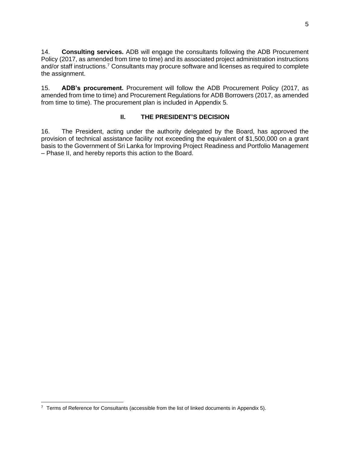14. **Consulting services.** ADB will engage the consultants following the ADB Procurement Policy (2017, as amended from time to time) and its associated project administration instructions and/or staff instructions.<sup>7</sup> Consultants may procure software and licenses as required to complete the assignment.

15. **ADB's procurement.** Procurement will follow the ADB Procurement Policy (2017, as amended from time to time) and Procurement Regulations for ADB Borrowers (2017, as amended from time to time). The procurement plan is included in Appendix 5.

### **II. THE PRESIDENT'S DECISION**

16. The President, acting under the authority delegated by the Board, has approved the provision of technical assistance facility not exceeding the equivalent of \$1,500,000 on a grant basis to the Government of Sri Lanka for Improving Project Readiness and Portfolio Management – Phase II, and hereby reports this action to the Board.

 $7$  Terms of Reference for Consultants (accessible from the list of linked documents in Appendix 5).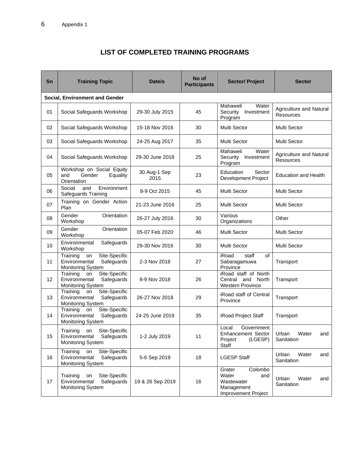# **LIST OF COMPLETED TRAINING PROGRAMS**

| Sn | <b>Training Topic</b>                                                                      | Date/s               | No of<br><b>Participants</b> | <b>Sector/Project</b>                                                                | <b>Sector</b>                               |  |
|----|--------------------------------------------------------------------------------------------|----------------------|------------------------------|--------------------------------------------------------------------------------------|---------------------------------------------|--|
|    | <b>Social, Environment and Gender</b>                                                      |                      |                              |                                                                                      |                                             |  |
| 01 | Social Safeguards Workshop                                                                 | 29-30 July 2015      | 45                           | Mahaweli<br>Water<br>Security<br>Investment<br>Program                               | Agriculture and Natural<br><b>Resources</b> |  |
| 02 | Social Safeguards Workshop                                                                 | 15-18 Nov 2016       | 30                           | Multi Sector                                                                         | <b>Multi Sector</b>                         |  |
| 03 | Social Safeguards Workshop                                                                 | 24-25 Aug 2017       | 35                           | Multi Sector                                                                         | <b>Multi Sector</b>                         |  |
| 04 | Social Safeguards Workshop                                                                 | 29-30 June 2018      | 25                           | Mahaweli<br>Water<br>Investment<br>Security<br>Program                               | Agriculture and Natural<br>Resources        |  |
| 05 | Workshop on Social Equity<br>Gender<br>Equality<br>and<br>Orientation                      | 30 Aug-1 Sep<br>2015 | 23                           | Education<br>Sector<br><b>Development Project</b>                                    | <b>Education and Health</b>                 |  |
| 06 | Social<br>and<br>Environment<br>Safeguards Training                                        | 8-9 Oct 2015         | 45                           | Multi Sector                                                                         | <b>Multi Sector</b>                         |  |
| 07 | Training on Gender Action<br>Plan                                                          | 21-23 June 2016      | 25                           | Multi Sector                                                                         | Multi Sector                                |  |
| 08 | Gender<br>Orientation<br>Workshop                                                          | 26-27 July 2016      | 30                           | Various<br>Organizations                                                             | Other                                       |  |
| 09 | Gender<br>Orientation<br>Workshop                                                          | 05-07 Feb 2020       | 46                           | Multi Sector                                                                         | <b>Multi Sector</b>                         |  |
| 10 | Environmental<br>Safeguards<br>Workshop                                                    | 29-30 Nov 2016       | 30                           | Multi Sector                                                                         | <b>Multi Sector</b>                         |  |
| 11 | Site-Specific<br>Training<br>on<br>Environmental<br>Safeguards<br><b>Monitoring System</b> | 2-3 Nov 2018         | 27                           | iRoad<br>staff<br>of<br>Sabaragamuwa<br>Province                                     | Transport                                   |  |
| 12 | Site-Specific<br>Training<br>on<br>Environmental<br>Safeguards<br><b>Monitoring System</b> | 8-9 Nov 2018         | 26                           | iRoad staff of North<br>and<br>Central<br>North<br><b>Western Province</b>           | Transport                                   |  |
| 13 | Site-Specific<br>Training<br>on<br>Environmental<br>Safeguards<br>Monitoring System        | 26-27 Nov 2018       | 29                           | iRoad staff of Central<br>Province                                                   | Transport                                   |  |
| 14 | Site-Specific<br>Training<br>on<br>Environmental<br>Safeguards<br><b>Monitoring System</b> | 24-25 June 2019      | 35                           | iRoad Project Staff                                                                  | Transport                                   |  |
| 15 | Site-Specific<br>Training<br>on<br>Environmental<br>Safeguards<br><b>Monitoring System</b> | 1-2 July 2019        | 11                           | Local<br>Government<br><b>Enhancement Sector</b><br>(LGESP)<br>Project<br>Staff      | Urban<br>Water<br>and<br>Sanitation         |  |
| 16 | Site-Specific<br>Training<br>on<br>Environmental<br>Safeguards<br><b>Monitoring System</b> | 5-6 Sep 2019         | 18                           | <b>LGESP Staff</b>                                                                   | Urban<br>Water<br>and<br>Sanitation         |  |
| 17 | Site-Specific<br>Training<br>on<br>Environmental<br>Safeguards<br><b>Monitoring System</b> | 19 & 26 Sep 2019     | 16                           | Colombo<br>Grater<br>Water<br>and<br>Wastewater<br>Management<br>Improvement Project | Water<br>Urban<br>and<br>Sanitation         |  |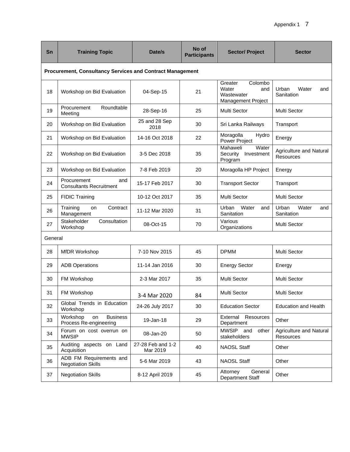| Sn      | <b>Training Topic</b>                                            | Date/s                        | No of<br><b>Participants</b> | <b>Sector/Project</b>                                                  | <b>Sector</b>                               |
|---------|------------------------------------------------------------------|-------------------------------|------------------------------|------------------------------------------------------------------------|---------------------------------------------|
|         | <b>Procurement, Consultancy Services and Contract Management</b> |                               |                              |                                                                        |                                             |
| 18      | Workshop on Bid Evaluation                                       | 04-Sep-15                     | 21                           | Colombo<br>Greater<br>Water<br>and<br>Wastewater<br>Management Project | Urban<br>Water<br>and<br>Sanitation         |
| 19      | Procurement<br>Roundtable<br>Meeting                             | 28-Sep-16                     | 25                           | Multi Sector                                                           | <b>Multi Sector</b>                         |
| 20      | Workshop on Bid Evaluation                                       | 25 and 28 Sep<br>2018         | 30                           | Sri Lanka Railways                                                     | Transport                                   |
| 21      | Workshop on Bid Evaluation                                       | 14-16 Oct 2018                | 22                           | Moragolla<br>Hydro<br>Power Project                                    | Energy                                      |
| 22      | Workshop on Bid Evaluation                                       | 3-5 Dec 2018                  | 35                           | Mahaweli<br>Water<br>Security<br>Investment<br>Program                 | Agriculture and Natural<br>Resources        |
| 23      | Workshop on Bid Evaluation                                       | 7-8 Feb 2019                  | 20                           | Moragolla HP Project                                                   | Energy                                      |
| 24      | Procurement<br>and<br><b>Consultants Recruitment</b>             | 15-17 Feb 2017                | 30                           | <b>Transport Sector</b>                                                | Transport                                   |
| 25      | <b>FIDIC Training</b>                                            | 10-12 Oct 2017                | 35                           | <b>Multi Sector</b>                                                    | <b>Multi Sector</b>                         |
| 26      | Training<br>Contract<br>on<br>Management                         | 11-12 Mar 2020                | 31                           | Water<br>Urban<br>and<br>Sanitation                                    | Urban<br>Water<br>and<br>Sanitation         |
| 27      | Stakeholder<br>Consultation<br>Workshop                          | 08-Oct-15                     | 70                           | Various<br>Organizations                                               | Multi Sector                                |
| General |                                                                  |                               |                              |                                                                        |                                             |
| 28      | <b>MfDR Workshop</b>                                             | 7-10 Nov 2015                 | 45                           | <b>DPMM</b>                                                            | Multi Sector                                |
| 29      | <b>ADB Operations</b>                                            | 11-14 Jan 2016                | 30                           | <b>Energy Sector</b>                                                   | Energy                                      |
| 30      | FM Workshop                                                      | 2-3 Mar 2017                  | 35                           | Multi Sector                                                           | <b>Multi Sector</b>                         |
| 31      | FM Workshop                                                      | 3-4 Mar 2020                  | 84                           | <b>Multi Sector</b>                                                    | <b>Multi Sector</b>                         |
| 32      | Global Trends in Education<br>Workshop                           | 24-26 July 2017               | 30                           | <b>Education Sector</b>                                                | <b>Education and Health</b>                 |
| 33      | Workshop<br><b>Business</b><br>on<br>Process Re-engineering      | 19-Jan-18                     | 29                           | External Resources<br>Department                                       | Other                                       |
| 34      | Forum on cost overrun on<br><b>MWSIP</b>                         | 08-Jan-20                     | 50                           | MWSIP<br>and<br>other<br>stakeholders                                  | Agriculture and Natural<br><b>Resources</b> |
| 35      | Auditing aspects on Land<br>Acquisition                          | 27-28 Feb and 1-2<br>Mar 2019 | 40                           | <b>NAOSL Staff</b>                                                     | Other                                       |
| 36      | ADB FM Requirements and<br><b>Negotiation Skills</b>             | 5-6 Mar 2019                  | 43                           | <b>NAOSL Staff</b>                                                     | Other                                       |
| 37      | <b>Negotiation Skills</b>                                        | 8-12 April 2019               | 45                           | Attorney<br>General<br>Department Staff                                | Other                                       |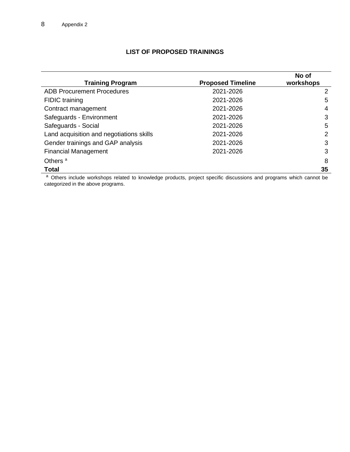## **LIST OF PROPOSED TRAININGS**

| <b>ADB Procurement Procedures</b><br>2021-2026<br>2<br>2021-2026<br><b>FIDIC</b> training<br>5<br>Contract management<br>2021-2026<br>4<br>Safeguards - Environment<br>3<br>2021-2026<br>Safeguards - Social<br>2021-2026<br>5<br>Land acquisition and negotiations skills<br>2021-2026<br>2<br>Gender trainings and GAP analysis<br>3<br>2021-2026<br><b>Financial Management</b><br>2021-2026<br>3<br>8 | <b>Training Program</b> | <b>Proposed Timeline</b> | No of<br>workshops |
|-----------------------------------------------------------------------------------------------------------------------------------------------------------------------------------------------------------------------------------------------------------------------------------------------------------------------------------------------------------------------------------------------------------|-------------------------|--------------------------|--------------------|
|                                                                                                                                                                                                                                                                                                                                                                                                           |                         |                          |                    |
|                                                                                                                                                                                                                                                                                                                                                                                                           |                         |                          |                    |
|                                                                                                                                                                                                                                                                                                                                                                                                           |                         |                          |                    |
|                                                                                                                                                                                                                                                                                                                                                                                                           |                         |                          |                    |
|                                                                                                                                                                                                                                                                                                                                                                                                           |                         |                          |                    |
|                                                                                                                                                                                                                                                                                                                                                                                                           |                         |                          |                    |
|                                                                                                                                                                                                                                                                                                                                                                                                           |                         |                          |                    |
|                                                                                                                                                                                                                                                                                                                                                                                                           |                         |                          |                    |
|                                                                                                                                                                                                                                                                                                                                                                                                           | Others <sup>a</sup>     |                          |                    |
| <b>Total</b><br>35                                                                                                                                                                                                                                                                                                                                                                                        |                         |                          |                    |

a Others include workshops related to knowledge products, project specific discussions and programs which cannot be categorized in the above programs.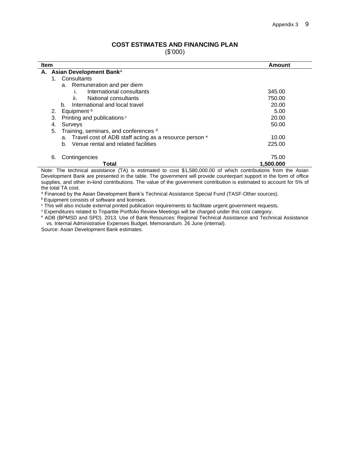### **COST ESTIMATES AND FINANCING PLAN**

(\$'000)

| <b>Item</b> |    |                                                                                                                                                                                                                                                                      | Amount              |
|-------------|----|----------------------------------------------------------------------------------------------------------------------------------------------------------------------------------------------------------------------------------------------------------------------|---------------------|
|             |    | A. Asian Development Banka                                                                                                                                                                                                                                           |                     |
|             | 1. | Consultants                                                                                                                                                                                                                                                          |                     |
|             |    | a. Remuneration and per diem                                                                                                                                                                                                                                         |                     |
|             |    | International consultants                                                                                                                                                                                                                                            | 345.00              |
|             |    | National consultants<br>ii.                                                                                                                                                                                                                                          | 750.00              |
|             |    | International and local travel<br>b.                                                                                                                                                                                                                                 | 20.00               |
|             | 2. | Equipment b                                                                                                                                                                                                                                                          | 5.00                |
|             | 3. | Printing and publications c                                                                                                                                                                                                                                          | 20.00               |
|             | 4. | Surveys                                                                                                                                                                                                                                                              | 50.00               |
|             | 5. | Training, seminars, and conferences d                                                                                                                                                                                                                                |                     |
|             |    | Travel cost of ADB staff acting as a resource person <sup>e</sup><br>а.                                                                                                                                                                                              | 10.00               |
|             |    | Venue rental and related facilities<br>b.                                                                                                                                                                                                                            | 225.00              |
|             | 6. | Contingencies                                                                                                                                                                                                                                                        | 75.00               |
|             |    | Total<br>.<br>$-1$<br>$- \cdot$<br>$\mathbf{a}$ . The contract of the contract of the contract of the contract of the contract of the contract of the contract of the contract of the contract of the contract of the contract of the contract of the contract of th | 1,500.000<br>$\sim$ |

Note: The technical assistance (TA) is estimated to cost \$1,580,000.00 of which contributions from the Asian Development Bank are presented in the table. The government will provide counterpart support in the form of office supplies, and other in-kind contributions. The value of the government contribution is estimated to account for 5% of the total TA cost.

a Financed by the Asian Development Bank's Technical Assistance Special Fund (TASF-Other sources).

**b** Equipment consists of software and licenses.

<sup>c</sup> This will also include external printed publication requirements to facilitate urgent government requests.

<sup>d</sup> Expenditures related to Tripartite Portfolio Review Meetings will be charged under this cost category.

<sup>e</sup> ADB (BPMSD and SPD). 2013. Use of Bank Resources: Regional Technical Assistance and Technical Assistance vs. Internal Administrative Expenses Budget. Memorandum. 26 June (internal).

Source: Asian Development Bank estimates.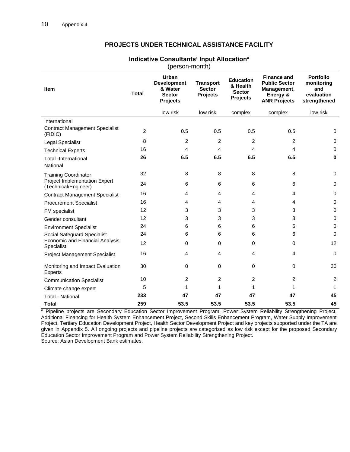|                                                       |                | (person-month)                                                             |                                                      |                                                                  |                                                                                              |                                                                     |
|-------------------------------------------------------|----------------|----------------------------------------------------------------------------|------------------------------------------------------|------------------------------------------------------------------|----------------------------------------------------------------------------------------------|---------------------------------------------------------------------|
| <b>Item</b>                                           | <b>Total</b>   | Urban<br><b>Development</b><br>& Water<br><b>Sector</b><br><b>Projects</b> | <b>Transport</b><br><b>Sector</b><br><b>Projects</b> | <b>Education</b><br>& Health<br><b>Sector</b><br><b>Projects</b> | <b>Finance and</b><br><b>Public Sector</b><br>Management,<br>Energy &<br><b>ANR Projects</b> | <b>Portfolio</b><br>monitoring<br>and<br>evaluation<br>strengthened |
|                                                       |                | low risk                                                                   | low risk                                             | complex                                                          | complex                                                                                      | low risk                                                            |
| International                                         |                |                                                                            |                                                      |                                                                  |                                                                                              |                                                                     |
| <b>Contract Management Specialist</b><br>(FIDIC)      | $\overline{2}$ | 0.5                                                                        | 0.5                                                  | 0.5                                                              | 0.5                                                                                          | $\mathbf 0$                                                         |
| Legal Specialist                                      | 8              | 2                                                                          | $\overline{c}$                                       | 2                                                                | 2                                                                                            | 0                                                                   |
| <b>Technical Experts</b>                              | 16             | $\overline{4}$                                                             | 4                                                    | 4                                                                | 4                                                                                            | $\mathbf 0$                                                         |
| <b>Total -International</b><br>National               | 26             | 6.5                                                                        | 6.5                                                  | 6.5                                                              | 6.5                                                                                          | 0                                                                   |
| <b>Training Coordinator</b>                           | 32             | 8                                                                          | 8                                                    | 8                                                                | 8                                                                                            | $\mathbf 0$                                                         |
| Project Implementation Expert<br>(Technical/Engineer) | 24             | 6                                                                          | 6                                                    | 6                                                                | 6                                                                                            | $\mathbf 0$                                                         |
| <b>Contract Management Specialist</b>                 | 16             | 4                                                                          | 4                                                    | $\overline{4}$                                                   | 4                                                                                            | $\mathbf 0$                                                         |
| <b>Procurement Specialist</b>                         | 16             | 4                                                                          | 4                                                    | $\overline{4}$                                                   | 4                                                                                            | $\mathbf 0$                                                         |
| FM specialist                                         | 12             | 3                                                                          | 3                                                    | 3                                                                | 3                                                                                            | $\mathbf 0$                                                         |
| Gender consultant                                     | 12             | 3                                                                          | 3                                                    | 3                                                                | 3                                                                                            | $\mathbf 0$                                                         |
| <b>Environment Specialist</b>                         | 24             | 6                                                                          | 6                                                    | 6                                                                | 6                                                                                            | $\mathbf 0$                                                         |
| Social Safeguard Specialist                           | 24             | 6                                                                          | 6                                                    | 6                                                                | 6                                                                                            | $\Omega$                                                            |
| Economic and Financial Analysis<br>Specialist         | 12             | 0                                                                          | 0                                                    | $\Omega$                                                         | 0                                                                                            | 12 <sup>2</sup>                                                     |
| <b>Project Management Specialist</b>                  | 16             | 4                                                                          | 4                                                    | $\overline{4}$                                                   | 4                                                                                            | $\mathbf 0$                                                         |
| Monitoring and Impact Evaluation<br><b>Experts</b>    | 30             | 0                                                                          | 0                                                    | 0                                                                | 0                                                                                            | 30                                                                  |
| <b>Communication Specialist</b>                       | 10             | 2                                                                          | $\overline{2}$                                       | $\overline{2}$                                                   | 2                                                                                            | 2                                                                   |
| Climate change expert                                 | 5              | 1                                                                          | 1                                                    | 1                                                                | 1                                                                                            | 1                                                                   |
| <b>Total - National</b>                               | 233            | 47                                                                         | 47                                                   | 47                                                               | 47                                                                                           | 45                                                                  |
| <b>Total</b>                                          | 259            | 53.5                                                                       | 53.5                                                 | 53.5                                                             | 53.5                                                                                         | 45                                                                  |

#### **PROJECTS UNDER TECHNICAL ASSISTANCE FACILITY**

**Indicative Consultants' Input Allocation<sup>a</sup>**

a Pipeline projects are Secondary Education Sector Improvement Program, Power System Reliability Strengthening Project, Additional Financing for Health System Enhancement Project, Second Skills Enhancement Program, Water Supply Improvement Project, Tertiary Education Development Project, Health Sector Development Project and key projects supported under the TA are given in Appendix 5. All ongoing projects and pipeline projects are categorized as low risk except for the proposed Secondary Education Sector Improvement Program and Power System Reliability Strengthening Project. Source: Asian Development Bank estimates.